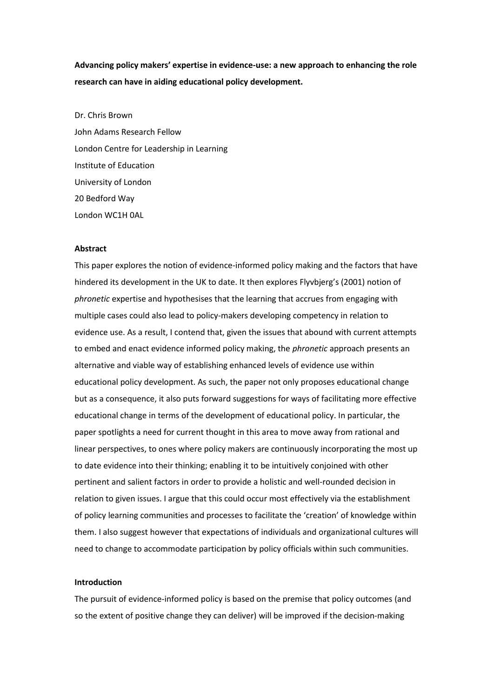**Advancing policy makers' expertise in evidence-use: a new approach to enhancing the role research can have in aiding educational policy development.** 

Dr. Chris Brown John Adams Research Fellow London Centre for Leadership in Learning Institute of Education University of London 20 Bedford Way London WC1H 0AL

# **Abstract**

This paper explores the notion of evidence-informed policy making and the factors that have hindered its development in the UK to date. It then explores Flyvbjerg's (2001) notion of *phronetic* expertise and hypothesises that the learning that accrues from engaging with multiple cases could also lead to policy-makers developing competency in relation to evidence use. As a result, I contend that, given the issues that abound with current attempts to embed and enact evidence informed policy making, the *phronetic* approach presents an alternative and viable way of establishing enhanced levels of evidence use within educational policy development. As such, the paper not only proposes educational change but as a consequence, it also puts forward suggestions for ways of facilitating more effective educational change in terms of the development of educational policy. In particular, the paper spotlights a need for current thought in this area to move away from rational and linear perspectives, to ones where policy makers are continuously incorporating the most up to date evidence into their thinking; enabling it to be intuitively conjoined with other pertinent and salient factors in order to provide a holistic and well-rounded decision in relation to given issues. I argue that this could occur most effectively via the establishment of policy learning communities and processes to facilitate the 'creation' of knowledge within them. I also suggest however that expectations of individuals and organizational cultures will need to change to accommodate participation by policy officials within such communities.

# **Introduction**

The pursuit of evidence-informed policy is based on the premise that policy outcomes (and so the extent of positive change they can deliver) will be improved if the decision-making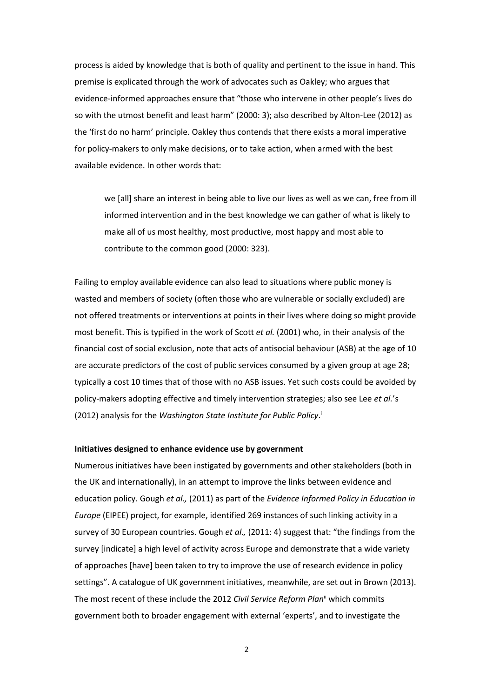process is aided by knowledge that is both of quality and pertinent to the issue in hand. This premise is explicated through the work of advocates such as Oakley; who argues that evidence-informed approaches ensure that "those who intervene in other people's lives do so with the utmost benefit and least harm" (2000: 3); also described by Alton-Lee (2012) as the 'first do no harm' principle. Oakley thus contends that there exists a moral imperative for policy-makers to only make decisions, or to take action, when armed with the best available evidence. In other words that:

we [all] share an interest in being able to live our lives as well as we can, free from ill informed intervention and in the best knowledge we can gather of what is likely to make all of us most healthy, most productive, most happy and most able to contribute to the common good (2000: 323).

Failing to employ available evidence can also lead to situations where public money is wasted and members of society (often those who are vulnerable or socially excluded) are not offered treatments or interventions at points in their lives where doing so might provide most benefit. This is typified in the work of Scott *et al.* (2001) who, in their analysis of the financial cost of social exclusion, note that acts of antisocial behaviour (ASB) at the age of 10 are accurate predictors of the cost of public services consumed by a given group at age 28; typically a cost 10 times that of those with no ASB issues. Yet such costs could be avoided by policy-makers adopting effective and timely intervention strategies; also see Lee *et al.*'s (2012) analysis for the *Washington State Institute for Public Policy*. i

## **Initiatives designed to enhance evidence use by government**

Numerous initiatives have been instigated by governments and other stakeholders (both in the UK and internationally), in an attempt to improve the links between evidence and education policy. Gough *et al.,* (2011) as part of the *Evidence Informed Policy in Education in Europe* (EIPEE) project, for example, identified 269 instances of such linking activity in a survey of 30 European countries. Gough *et al.,* (2011: 4) suggest that: "the findings from the survey [indicate] a high level of activity across Europe and demonstrate that a wide variety of approaches [have] been taken to try to improve the use of research evidence in policy settings". A catalogue of UK government initiatives, meanwhile, are set out in Brown (2013). The most recent of these include the 2012 *Civil Service Reform Plan*ii which commits government both to broader engagement with external 'experts', and to investigate the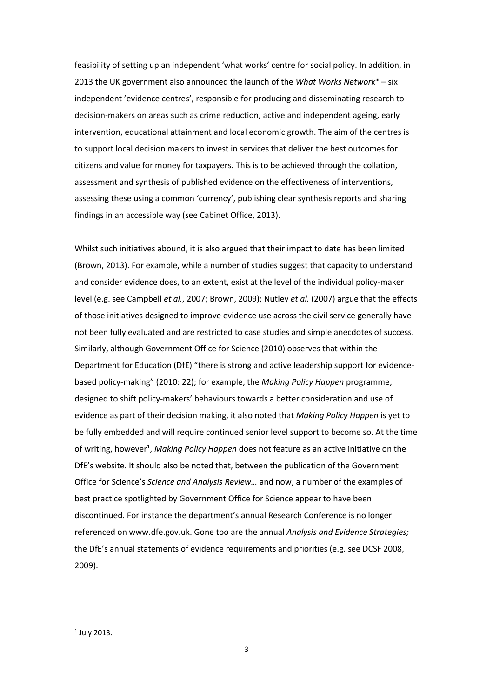feasibility of setting up an independent 'what works' centre for social policy. In addition, in 2013 the UK government also announced the launch of the *What Works Network*iii – six independent 'evidence centres', responsible for producing and disseminating research to decision-makers on areas such as crime reduction, active and independent ageing, early intervention, educational attainment and local economic growth. The aim of the centres is to support local decision makers to invest in services that deliver the best outcomes for citizens and value for money for taxpayers. This is to be achieved through the collation, assessment and synthesis of published evidence on the effectiveness of interventions, assessing these using a common 'currency', publishing clear synthesis reports and sharing findings in an accessible way (see Cabinet Office, 2013).

Whilst such initiatives abound, it is also argued that their impact to date has been limited (Brown, 2013). For example, while a number of studies suggest that capacity to understand and consider evidence does, to an extent, exist at the level of the individual policy-maker level (e.g. see Campbell *et al.*, 2007; Brown, 2009); Nutley *et al.* (2007) argue that the effects of those initiatives designed to improve evidence use across the civil service generally have not been fully evaluated and are restricted to case studies and simple anecdotes of success. Similarly, although Government Office for Science (2010) observes that within the Department for Education (DfE) "there is strong and active leadership support for evidencebased policy-making" (2010: 22); for example, the *Making Policy Happen* programme, designed to shift policy-makers' behaviours towards a better consideration and use of evidence as part of their decision making, it also noted that *Making Policy Happen* is yet to be fully embedded and will require continued senior level support to become so. At the time of writing, however<sup>1</sup>, *Making Policy Happen* does not feature as an active initiative on the DfE's website. It should also be noted that, between the publication of the Government Office for Science's *Science and Analysis Review…* and now, a number of the examples of best practice spotlighted by Government Office for Science appear to have been discontinued. For instance the department's annual Research Conference is no longer referenced on www.dfe.gov.uk. Gone too are the annual *Analysis and Evidence Strategies;* the DfE's annual statements of evidence requirements and priorities (e.g. see DCSF 2008, 2009).

 $\overline{\phantom{a}}$ 

<sup>1</sup> July 2013.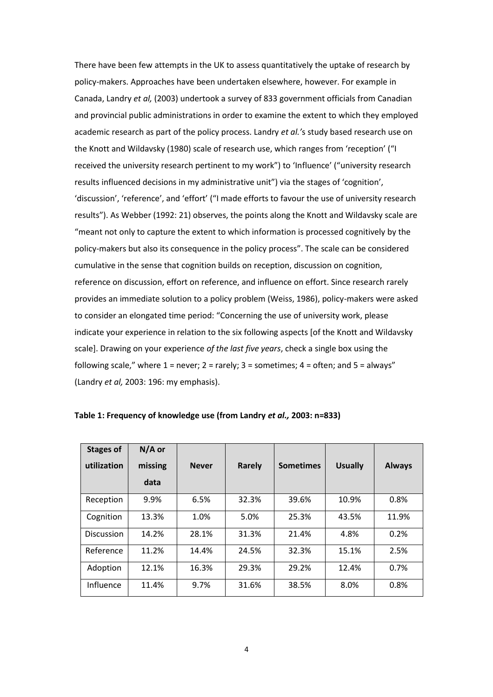There have been few attempts in the UK to assess quantitatively the uptake of research by policy-makers. Approaches have been undertaken elsewhere, however. For example in Canada, Landry *et al,* (2003) undertook a survey of 833 government officials from Canadian and provincial public administrations in order to examine the extent to which they employed academic research as part of the policy process. Landry *et al.'*s study based research use on the Knott and Wildavsky (1980) scale of research use, which ranges from 'reception' ("I received the university research pertinent to my work") to 'Influence' ("university research results influenced decisions in my administrative unit") via the stages of 'cognition', 'discussion', 'reference', and 'effort' ("I made efforts to favour the use of university research results"). As Webber (1992: 21) observes, the points along the Knott and Wildavsky scale are "meant not only to capture the extent to which information is processed cognitively by the policy-makers but also its consequence in the policy process". The scale can be considered cumulative in the sense that cognition builds on reception, discussion on cognition, reference on discussion, effort on reference, and influence on effort. Since research rarely provides an immediate solution to a policy problem (Weiss, 1986), policy-makers were asked to consider an elongated time period: "Concerning the use of university work, please indicate your experience in relation to the six following aspects [of the Knott and Wildavsky scale]. Drawing on your experience *of the last five years*, check a single box using the following scale," where  $1 =$  never;  $2 =$  rarely;  $3 =$  sometimes;  $4 =$  often; and  $5 =$  always" (Landry *et al,* 2003: 196: my emphasis).

| <b>Stages of</b>  | $N/A$ or |              |        |                  |                |               |
|-------------------|----------|--------------|--------|------------------|----------------|---------------|
| utilization       | missing  | <b>Never</b> | Rarely | <b>Sometimes</b> | <b>Usually</b> | <b>Always</b> |
|                   | data     |              |        |                  |                |               |
| Reception         | 9.9%     | 6.5%         | 32.3%  | 39.6%            | 10.9%          | 0.8%          |
| Cognition         | 13.3%    | 1.0%         | 5.0%   | 25.3%            | 43.5%          | 11.9%         |
| <b>Discussion</b> | 14.2%    | 28.1%        | 31.3%  | 21.4%            | 4.8%           | 0.2%          |
| Reference         | 11.2%    | 14.4%        | 24.5%  | 32.3%            | 15.1%          | 2.5%          |
| Adoption          | 12.1%    | 16.3%        | 29.3%  | 29.2%            | 12.4%          | 0.7%          |
| Influence         | 11.4%    | 9.7%         | 31.6%  | 38.5%            | 8.0%           | 0.8%          |

### **Table 1: Frequency of knowledge use (from Landry** *et al.,* **2003: n=833)**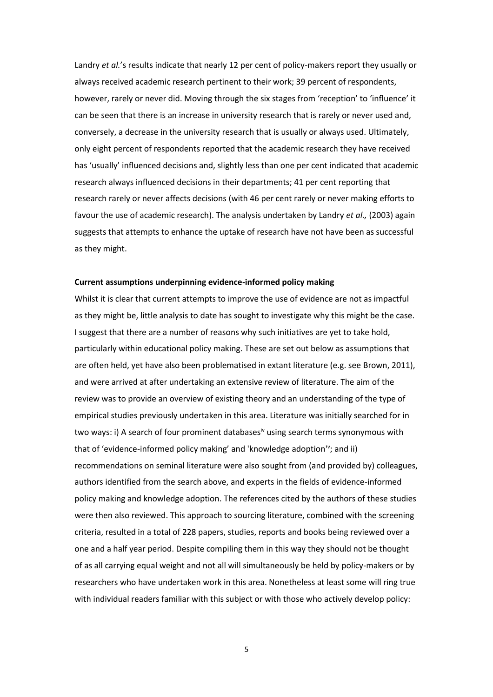Landry *et al.*'s results indicate that nearly 12 per cent of policy-makers report they usually or always received academic research pertinent to their work; 39 percent of respondents, however, rarely or never did. Moving through the six stages from 'reception' to 'influence' it can be seen that there is an increase in university research that is rarely or never used and, conversely, a decrease in the university research that is usually or always used. Ultimately, only eight percent of respondents reported that the academic research they have received has 'usually' influenced decisions and, slightly less than one per cent indicated that academic research always influenced decisions in their departments; 41 per cent reporting that research rarely or never affects decisions (with 46 per cent rarely or never making efforts to favour the use of academic research). The analysis undertaken by Landry *et al.,* (2003) again suggests that attempts to enhance the uptake of research have not have been as successful as they might.

## **Current assumptions underpinning evidence-informed policy making**

Whilst it is clear that current attempts to improve the use of evidence are not as impactful as they might be, little analysis to date has sought to investigate why this might be the case. I suggest that there are a number of reasons why such initiatives are yet to take hold, particularly within educational policy making. These are set out below as assumptions that are often held, yet have also been problematised in extant literature (e.g. see Brown, 2011), and were arrived at after undertaking an extensive review of literature. The aim of the review was to provide an overview of existing theory and an understanding of the type of empirical studies previously undertaken in this area. Literature was initially searched for in two ways: i) A search of four prominent databases<sup>iv</sup> using search terms synonymous with that of 'evidence-informed policy making' and 'knowledge adoption'<sup>v</sup>; and ii) recommendations on seminal literature were also sought from (and provided by) colleagues, authors identified from the search above, and experts in the fields of evidence-informed policy making and knowledge adoption. The references cited by the authors of these studies were then also reviewed. This approach to sourcing literature, combined with the screening criteria, resulted in a total of 228 papers, studies, reports and books being reviewed over a one and a half year period. Despite compiling them in this way they should not be thought of as all carrying equal weight and not all will simultaneously be held by policy-makers or by researchers who have undertaken work in this area. Nonetheless at least some will ring true with individual readers familiar with this subject or with those who actively develop policy: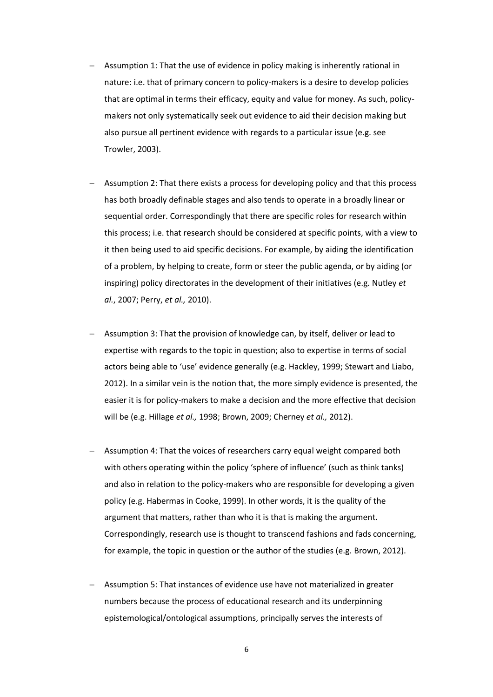- Assumption 1: That the use of evidence in policy making is inherently rational in nature: i.e. that of primary concern to policy-makers is a desire to develop policies that are optimal in terms their efficacy, equity and value for money. As such, policymakers not only systematically seek out evidence to aid their decision making but also pursue all pertinent evidence with regards to a particular issue (e.g. see Trowler, 2003).
- Assumption 2: That there exists a process for developing policy and that this process has both broadly definable stages and also tends to operate in a broadly linear or sequential order. Correspondingly that there are specific roles for research within this process; i.e. that research should be considered at specific points, with a view to it then being used to aid specific decisions. For example, by aiding the identification of a problem, by helping to create, form or steer the public agenda, or by aiding (or inspiring) policy directorates in the development of their initiatives (e.g. Nutley *et al.*, 2007; Perry, *et al.,* 2010).
- Assumption 3: That the provision of knowledge can, by itself, deliver or lead to expertise with regards to the topic in question; also to expertise in terms of social actors being able to 'use' evidence generally (e.g. Hackley, 1999; Stewart and Liabo, 2012). In a similar vein is the notion that, the more simply evidence is presented, the easier it is for policy-makers to make a decision and the more effective that decision will be (e.g. Hillage *et al.,* 1998; Brown, 2009; Cherney *et al.,* 2012).
- Assumption 4: That the voices of researchers carry equal weight compared both with others operating within the policy 'sphere of influence' (such as think tanks) and also in relation to the policy-makers who are responsible for developing a given policy (e.g. Habermas in Cooke, 1999). In other words, it is the quality of the argument that matters, rather than who it is that is making the argument. Correspondingly, research use is thought to transcend fashions and fads concerning, for example, the topic in question or the author of the studies (e.g. Brown, 2012).
- Assumption 5: That instances of evidence use have not materialized in greater numbers because the process of educational research and its underpinning epistemological/ontological assumptions, principally serves the interests of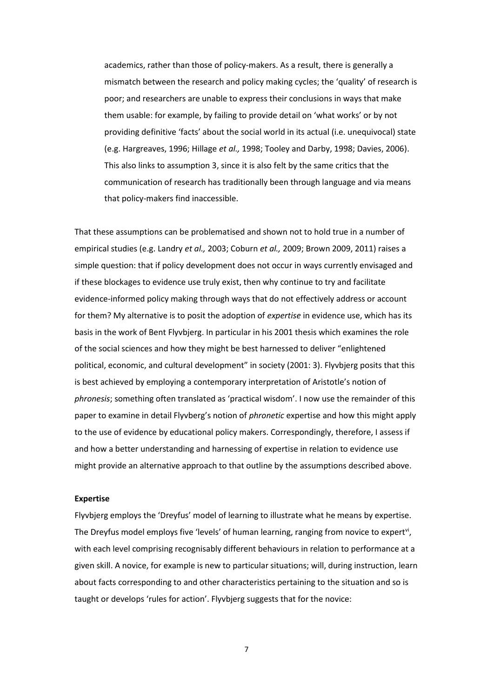academics, rather than those of policy-makers. As a result, there is generally a mismatch between the research and policy making cycles; the 'quality' of research is poor; and researchers are unable to express their conclusions in ways that make them usable: for example, by failing to provide detail on 'what works' or by not providing definitive 'facts' about the social world in its actual (i.e. unequivocal) state (e.g. Hargreaves, 1996; Hillage *et al.,* 1998; Tooley and Darby, 1998; Davies, 2006). This also links to assumption 3, since it is also felt by the same critics that the communication of research has traditionally been through language and via means that policy-makers find inaccessible.

That these assumptions can be problematised and shown not to hold true in a number of empirical studies (e.g. Landry *et al.,* 2003; Coburn *et al.,* 2009; Brown 2009, 2011) raises a simple question: that if policy development does not occur in ways currently envisaged and if these blockages to evidence use truly exist, then why continue to try and facilitate evidence-informed policy making through ways that do not effectively address or account for them? My alternative is to posit the adoption of *expertise* in evidence use, which has its basis in the work of Bent Flyvbjerg. In particular in his 2001 thesis which examines the role of the social sciences and how they might be best harnessed to deliver "enlightened political, economic, and cultural development" in society (2001: 3). Flyvbjerg posits that this is best achieved by employing a contemporary interpretation of Aristotle's notion of *phronesis*; something often translated as 'practical wisdom'. I now use the remainder of this paper to examine in detail Flyvberg's notion of *phronetic* expertise and how this might apply to the use of evidence by educational policy makers. Correspondingly, therefore, I assess if and how a better understanding and harnessing of expertise in relation to evidence use might provide an alternative approach to that outline by the assumptions described above.

### **Expertise**

Flyvbjerg employs the 'Dreyfus' model of learning to illustrate what he means by expertise. The Dreyfus model employs five 'levels' of human learning, ranging from novice to expert<sup>vi</sup>, with each level comprising recognisably different behaviours in relation to performance at a given skill. A novice, for example is new to particular situations; will, during instruction, learn about facts corresponding to and other characteristics pertaining to the situation and so is taught or develops 'rules for action'. Flyvbjerg suggests that for the novice: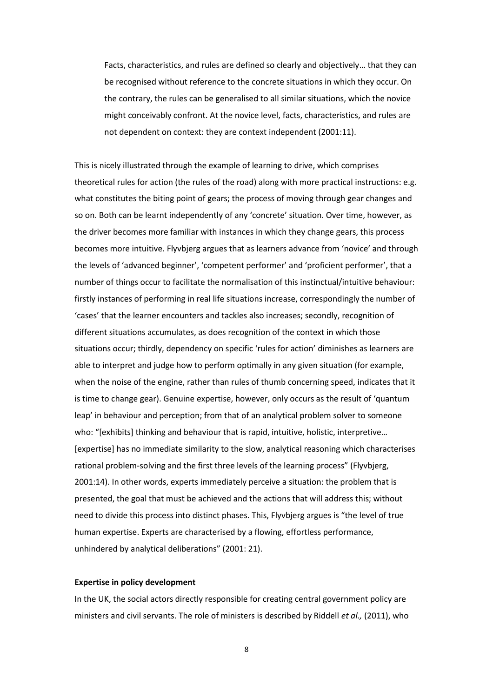Facts, characteristics, and rules are defined so clearly and objectively… that they can be recognised without reference to the concrete situations in which they occur. On the contrary, the rules can be generalised to all similar situations, which the novice might conceivably confront. At the novice level, facts, characteristics, and rules are not dependent on context: they are context independent (2001:11).

This is nicely illustrated through the example of learning to drive, which comprises theoretical rules for action (the rules of the road) along with more practical instructions: e.g. what constitutes the biting point of gears; the process of moving through gear changes and so on. Both can be learnt independently of any 'concrete' situation. Over time, however, as the driver becomes more familiar with instances in which they change gears, this process becomes more intuitive. Flyvbjerg argues that as learners advance from 'novice' and through the levels of 'advanced beginner', 'competent performer' and 'proficient performer', that a number of things occur to facilitate the normalisation of this instinctual/intuitive behaviour: firstly instances of performing in real life situations increase, correspondingly the number of 'cases' that the learner encounters and tackles also increases; secondly, recognition of different situations accumulates, as does recognition of the context in which those situations occur; thirdly, dependency on specific 'rules for action' diminishes as learners are able to interpret and judge how to perform optimally in any given situation (for example, when the noise of the engine, rather than rules of thumb concerning speed, indicates that it is time to change gear). Genuine expertise, however, only occurs as the result of 'quantum leap' in behaviour and perception; from that of an analytical problem solver to someone who: "[exhibits] thinking and behaviour that is rapid, intuitive, holistic, interpretive… [expertise] has no immediate similarity to the slow, analytical reasoning which characterises rational problem-solving and the first three levels of the learning process" (Flyvbjerg, 2001:14). In other words, experts immediately perceive a situation: the problem that is presented, the goal that must be achieved and the actions that will address this; without need to divide this process into distinct phases. This, Flyvbjerg argues is "the level of true human expertise. Experts are characterised by a flowing, effortless performance, unhindered by analytical deliberations" (2001: 21).

## **Expertise in policy development**

In the UK, the social actors directly responsible for creating central government policy are ministers and civil servants. The role of ministers is described by Riddell *et al.,* (2011), who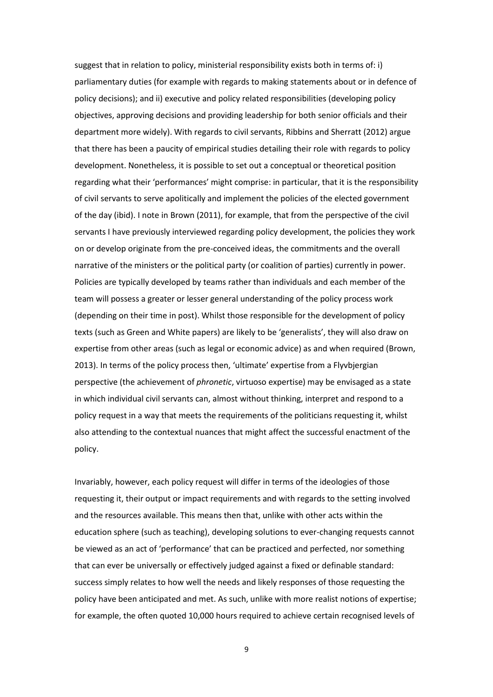suggest that in relation to policy, ministerial responsibility exists both in terms of: i) parliamentary duties (for example with regards to making statements about or in defence of policy decisions); and ii) executive and policy related responsibilities (developing policy objectives, approving decisions and providing leadership for both senior officials and their department more widely). With regards to civil servants, Ribbins and Sherratt (2012) argue that there has been a paucity of empirical studies detailing their role with regards to policy development. Nonetheless, it is possible to set out a conceptual or theoretical position regarding what their 'performances' might comprise: in particular, that it is the responsibility of civil servants to serve apolitically and implement the policies of the elected government of the day (ibid). I note in Brown (2011), for example, that from the perspective of the civil servants I have previously interviewed regarding policy development, the policies they work on or develop originate from the pre-conceived ideas, the commitments and the overall narrative of the ministers or the political party (or coalition of parties) currently in power. Policies are typically developed by teams rather than individuals and each member of the team will possess a greater or lesser general understanding of the policy process work (depending on their time in post). Whilst those responsible for the development of policy texts (such as Green and White papers) are likely to be 'generalists', they will also draw on expertise from other areas (such as legal or economic advice) as and when required (Brown, 2013). In terms of the policy process then, 'ultimate' expertise from a Flyvbjergian perspective (the achievement of *phronetic*, virtuoso expertise) may be envisaged as a state in which individual civil servants can, almost without thinking, interpret and respond to a policy request in a way that meets the requirements of the politicians requesting it, whilst also attending to the contextual nuances that might affect the successful enactment of the policy.

Invariably, however, each policy request will differ in terms of the ideologies of those requesting it, their output or impact requirements and with regards to the setting involved and the resources available. This means then that, unlike with other acts within the education sphere (such as teaching), developing solutions to ever-changing requests cannot be viewed as an act of 'performance' that can be practiced and perfected, nor something that can ever be universally or effectively judged against a fixed or definable standard: success simply relates to how well the needs and likely responses of those requesting the policy have been anticipated and met. As such, unlike with more realist notions of expertise; for example, the often quoted 10,000 hours required to achieve certain recognised levels of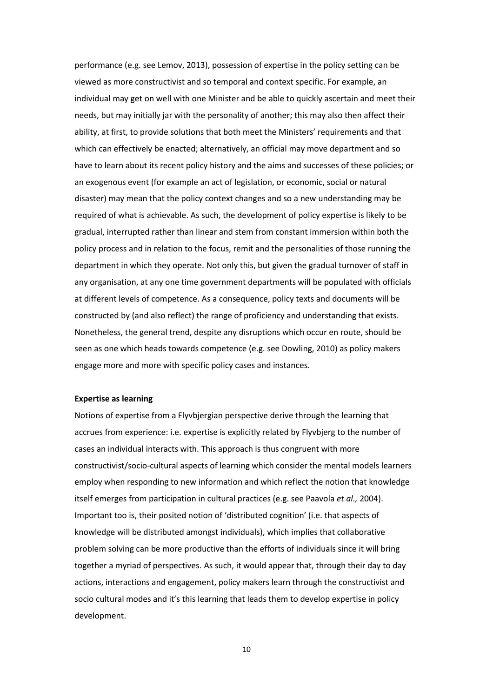performance (e.g. see Lemov, 2013), possession of expertise in the policy setting can be viewed as more constructivist and so temporal and context specific. For example, an individual may get on well with one Minister and be able to quickly ascertain and meet their needs, but may initially jar with the personality of another; this may also then affect their ability, at first, to provide solutions that both meet the Ministers' requirements and that which can effectively be enacted; alternatively, an official may move department and so have to learn about its recent policy history and the aims and successes of these policies; or an exogenous event (for example an act of legislation, or economic, social or natural disaster) may mean that the policy context changes and so a new understanding may be required of what is achievable. As such, the development of policy expertise is likely to be gradual, interrupted rather than linear and stem from constant immersion within both the policy process and in relation to the focus, remit and the personalities of those running the department in which they operate. Not only this, but given the gradual turnover of staff in any organisation, at any one time government departments will be populated with officials at different levels of competence. As a consequence, policy texts and documents will be constructed by (and also reflect) the range of proficiency and understanding that exists. Nonetheless, the general trend, despite any disruptions which occur en route, should be seen as one which heads towards competence (e.g. see Dowling, 2010) as policy makers engage more and more with specific policy cases and instances.

#### **Expertise as learning**

Notions of expertise from a Flyvbjergian perspective derive through the learning that accrues from experience: i.e. expertise is explicitly related by Flyvbjerg to the number of cases an individual interacts with. This approach is thus congruent with more constructivist/socio-cultural aspects of learning which consider the mental models learners employ when responding to new information and which reflect the notion that knowledge itself emerges from participation in cultural practices (e.g. see Paavola *et al.,* 2004). Important too is, their posited notion of 'distributed cognition' (i.e. that aspects of knowledge will be distributed amongst individuals), which implies that collaborative problem solving can be more productive than the efforts of individuals since it will bring together a myriad of perspectives. As such, it would appear that, through their day to day actions, interactions and engagement, policy makers learn through the constructivist and socio cultural modes and it's this learning that leads them to develop expertise in policy development.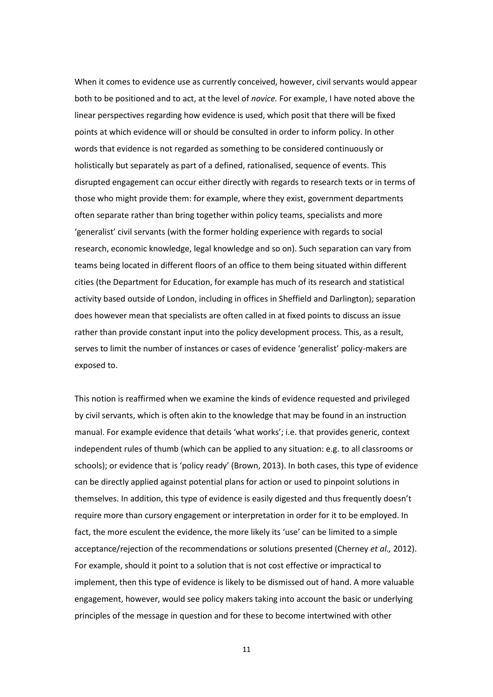When it comes to evidence use as currently conceived, however, civil servants would appear both to be positioned and to act, at the level of *novice.* For example, I have noted above the linear perspectives regarding how evidence is used, which posit that there will be fixed points at which evidence will or should be consulted in order to inform policy. In other words that evidence is not regarded as something to be considered continuously or holistically but separately as part of a defined, rationalised, sequence of events. This disrupted engagement can occur either directly with regards to research texts or in terms of those who might provide them: for example, where they exist, government departments often separate rather than bring together within policy teams, specialists and more 'generalist' civil servants (with the former holding experience with regards to social research, economic knowledge, legal knowledge and so on). Such separation can vary from teams being located in different floors of an office to them being situated within different cities (the Department for Education, for example has much of its research and statistical activity based outside of London, including in offices in Sheffield and Darlington); separation does however mean that specialists are often called in at fixed points to discuss an issue rather than provide constant input into the policy development process. This, as a result, serves to limit the number of instances or cases of evidence 'generalist' policy-makers are exposed to.

This notion is reaffirmed when we examine the kinds of evidence requested and privileged by civil servants, which is often akin to the knowledge that may be found in an instruction manual. For example evidence that details 'what works'; i.e. that provides generic, context independent rules of thumb (which can be applied to any situation: e.g. to all classrooms or schools); or evidence that is 'policy ready' (Brown, 2013). In both cases, this type of evidence can be directly applied against potential plans for action or used to pinpoint solutions in themselves. In addition, this type of evidence is easily digested and thus frequently doesn't require more than cursory engagement or interpretation in order for it to be employed. In fact, the more esculent the evidence, the more likely its 'use' can be limited to a simple acceptance/rejection of the recommendations or solutions presented (Cherney *et al.,* 2012). For example, should it point to a solution that is not cost effective or impractical to implement, then this type of evidence is likely to be dismissed out of hand. A more valuable engagement, however, would see policy makers taking into account the basic or underlying principles of the message in question and for these to become intertwined with other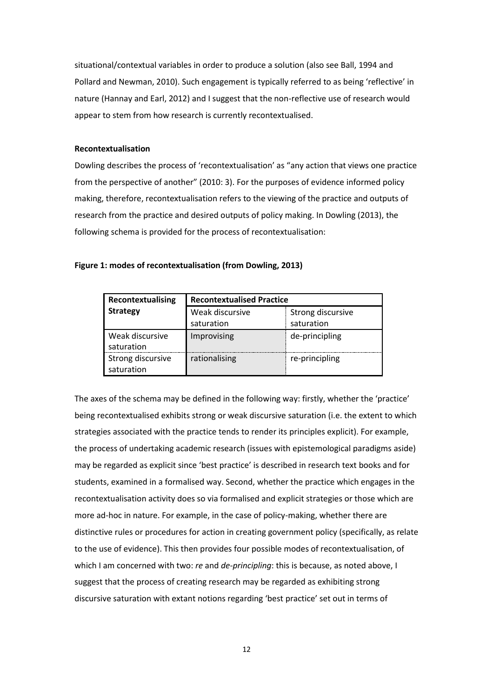situational/contextual variables in order to produce a solution (also see Ball, 1994 and Pollard and Newman, 2010). Such engagement is typically referred to as being 'reflective' in nature (Hannay and Earl, 2012) and I suggest that the non-reflective use of research would appear to stem from how research is currently recontextualised.

# **Recontextualisation**

Dowling describes the process of 'recontextualisation' as "any action that views one practice from the perspective of another" (2010: 3). For the purposes of evidence informed policy making, therefore, recontextualisation refers to the viewing of the practice and outputs of research from the practice and desired outputs of policy making. In Dowling (2013), the following schema is provided for the process of recontextualisation:

| Figure 1: modes of recontextualisation (from Dowling, 2013) |  |  |  |
|-------------------------------------------------------------|--|--|--|
|-------------------------------------------------------------|--|--|--|

| Recontextualising               | <b>Recontextualised Practice</b> |                   |  |  |
|---------------------------------|----------------------------------|-------------------|--|--|
| <b>Strategy</b>                 | Weak discursive                  | Strong discursive |  |  |
|                                 | saturation                       | saturation        |  |  |
| Weak discursive<br>saturation   | Improvising                      | de-principling    |  |  |
| Strong discursive<br>saturation | rationalising                    | re-principling    |  |  |

The axes of the schema may be defined in the following way: firstly, whether the 'practice' being recontextualised exhibits strong or weak discursive saturation (i.e. the extent to which strategies associated with the practice tends to render its principles explicit). For example, the process of undertaking academic research (issues with epistemological paradigms aside) may be regarded as explicit since 'best practice' is described in research text books and for students, examined in a formalised way. Second, whether the practice which engages in the recontextualisation activity does so via formalised and explicit strategies or those which are more ad-hoc in nature. For example, in the case of policy-making, whether there are distinctive rules or procedures for action in creating government policy (specifically, as relate to the use of evidence). This then provides four possible modes of recontextualisation, of which I am concerned with two: *re* and *de-principling*: this is because, as noted above, I suggest that the process of creating research may be regarded as exhibiting strong discursive saturation with extant notions regarding 'best practice' set out in terms of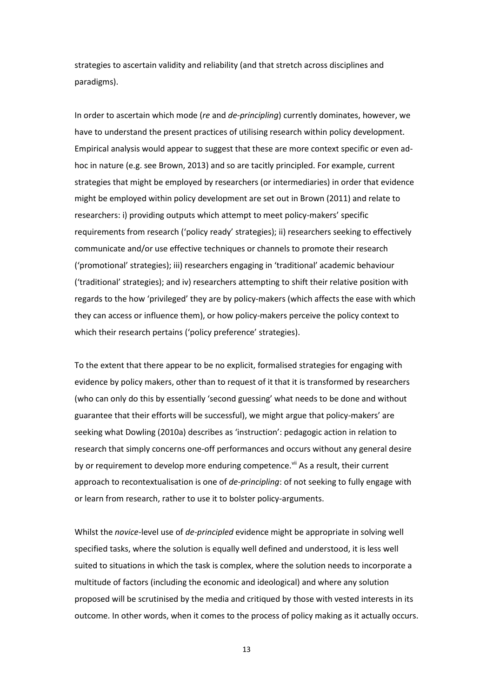strategies to ascertain validity and reliability (and that stretch across disciplines and paradigms).

In order to ascertain which mode (*re* and *de-principling*) currently dominates, however, we have to understand the present practices of utilising research within policy development. Empirical analysis would appear to suggest that these are more context specific or even adhoc in nature (e.g. see Brown, 2013) and so are tacitly principled. For example, current strategies that might be employed by researchers (or intermediaries) in order that evidence might be employed within policy development are set out in Brown (2011) and relate to researchers: i) providing outputs which attempt to meet policy-makers' specific requirements from research ('policy ready' strategies); ii) researchers seeking to effectively communicate and/or use effective techniques or channels to promote their research ('promotional' strategies); iii) researchers engaging in 'traditional' academic behaviour ('traditional' strategies); and iv) researchers attempting to shift their relative position with regards to the how 'privileged' they are by policy-makers (which affects the ease with which they can access or influence them), or how policy-makers perceive the policy context to which their research pertains ('policy preference' strategies).

To the extent that there appear to be no explicit, formalised strategies for engaging with evidence by policy makers, other than to request of it that it is transformed by researchers (who can only do this by essentially 'second guessing' what needs to be done and without guarantee that their efforts will be successful), we might argue that policy-makers' are seeking what Dowling (2010a) describes as 'instruction': pedagogic action in relation to research that simply concerns one-off performances and occurs without any general desire by or requirement to develop more enduring competence.<sup>vii</sup> As a result, their current approach to recontextualisation is one of *de-principling*: of not seeking to fully engage with or learn from research, rather to use it to bolster policy-arguments.

Whilst the *novice*-level use of *de-principled* evidence might be appropriate in solving well specified tasks, where the solution is equally well defined and understood, it is less well suited to situations in which the task is complex, where the solution needs to incorporate a multitude of factors (including the economic and ideological) and where any solution proposed will be scrutinised by the media and critiqued by those with vested interests in its outcome. In other words, when it comes to the process of policy making as it actually occurs.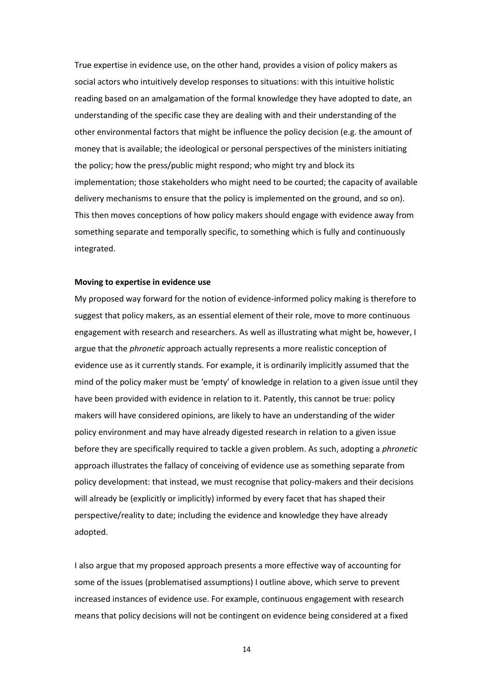True expertise in evidence use, on the other hand, provides a vision of policy makers as social actors who intuitively develop responses to situations: with this intuitive holistic reading based on an amalgamation of the formal knowledge they have adopted to date, an understanding of the specific case they are dealing with and their understanding of the other environmental factors that might be influence the policy decision (e.g. the amount of money that is available; the ideological or personal perspectives of the ministers initiating the policy; how the press/public might respond; who might try and block its implementation; those stakeholders who might need to be courted; the capacity of available delivery mechanisms to ensure that the policy is implemented on the ground, and so on). This then moves conceptions of how policy makers should engage with evidence away from something separate and temporally specific, to something which is fully and continuously integrated.

#### **Moving to expertise in evidence use**

My proposed way forward for the notion of evidence-informed policy making is therefore to suggest that policy makers, as an essential element of their role, move to more continuous engagement with research and researchers. As well as illustrating what might be, however, I argue that the *phronetic* approach actually represents a more realistic conception of evidence use as it currently stands. For example, it is ordinarily implicitly assumed that the mind of the policy maker must be 'empty' of knowledge in relation to a given issue until they have been provided with evidence in relation to it. Patently, this cannot be true: policy makers will have considered opinions, are likely to have an understanding of the wider policy environment and may have already digested research in relation to a given issue before they are specifically required to tackle a given problem. As such, adopting a *phronetic* approach illustrates the fallacy of conceiving of evidence use as something separate from policy development: that instead, we must recognise that policy-makers and their decisions will already be (explicitly or implicitly) informed by every facet that has shaped their perspective/reality to date; including the evidence and knowledge they have already adopted.

I also argue that my proposed approach presents a more effective way of accounting for some of the issues (problematised assumptions) I outline above, which serve to prevent increased instances of evidence use. For example, continuous engagement with research means that policy decisions will not be contingent on evidence being considered at a fixed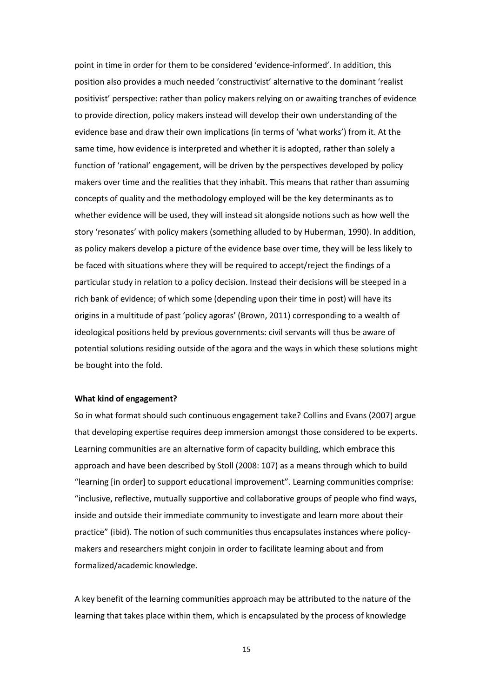point in time in order for them to be considered 'evidence-informed'. In addition, this position also provides a much needed 'constructivist' alternative to the dominant 'realist positivist' perspective: rather than policy makers relying on or awaiting tranches of evidence to provide direction, policy makers instead will develop their own understanding of the evidence base and draw their own implications (in terms of 'what works') from it. At the same time, how evidence is interpreted and whether it is adopted, rather than solely a function of 'rational' engagement, will be driven by the perspectives developed by policy makers over time and the realities that they inhabit. This means that rather than assuming concepts of quality and the methodology employed will be the key determinants as to whether evidence will be used, they will instead sit alongside notions such as how well the story 'resonates' with policy makers (something alluded to by Huberman, 1990). In addition, as policy makers develop a picture of the evidence base over time, they will be less likely to be faced with situations where they will be required to accept/reject the findings of a particular study in relation to a policy decision. Instead their decisions will be steeped in a rich bank of evidence; of which some (depending upon their time in post) will have its origins in a multitude of past 'policy agoras' (Brown, 2011) corresponding to a wealth of ideological positions held by previous governments: civil servants will thus be aware of potential solutions residing outside of the agora and the ways in which these solutions might be bought into the fold.

## **What kind of engagement?**

So in what format should such continuous engagement take? Collins and Evans (2007) argue that developing expertise requires deep immersion amongst those considered to be experts. Learning communities are an alternative form of capacity building, which embrace this approach and have been described by Stoll (2008: 107) as a means through which to build "learning [in order] to support educational improvement". Learning communities comprise: "inclusive, reflective, mutually supportive and collaborative groups of people who find ways, inside and outside their immediate community to investigate and learn more about their practice" (ibid). The notion of such communities thus encapsulates instances where policymakers and researchers might conjoin in order to facilitate learning about and from formalized/academic knowledge.

A key benefit of the learning communities approach may be attributed to the nature of the learning that takes place within them, which is encapsulated by the process of knowledge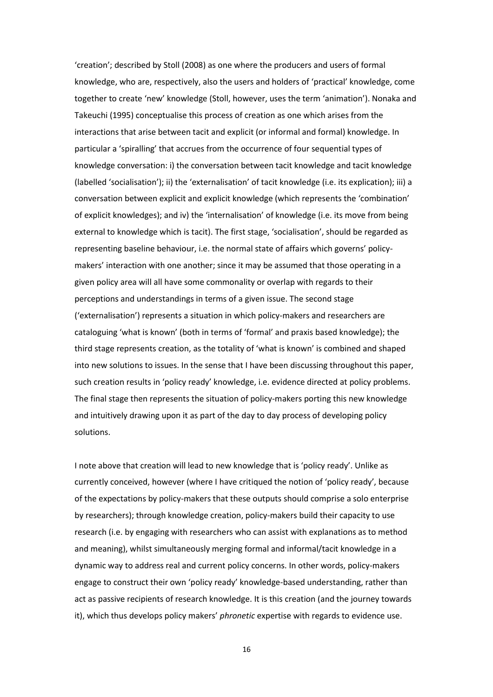'creation'; described by Stoll (2008) as one where the producers and users of formal knowledge, who are, respectively, also the users and holders of 'practical' knowledge, come together to create 'new' knowledge (Stoll, however, uses the term 'animation'). Nonaka and Takeuchi (1995) conceptualise this process of creation as one which arises from the interactions that arise between tacit and explicit (or informal and formal) knowledge. In particular a 'spiralling' that accrues from the occurrence of four sequential types of knowledge conversation: i) the conversation between tacit knowledge and tacit knowledge (labelled 'socialisation'); ii) the 'externalisation' of tacit knowledge (i.e. its explication); iii) a conversation between explicit and explicit knowledge (which represents the 'combination' of explicit knowledges); and iv) the 'internalisation' of knowledge (i.e. its move from being external to knowledge which is tacit). The first stage, 'socialisation', should be regarded as representing baseline behaviour, i.e. the normal state of affairs which governs' policymakers' interaction with one another; since it may be assumed that those operating in a given policy area will all have some commonality or overlap with regards to their perceptions and understandings in terms of a given issue. The second stage ('externalisation') represents a situation in which policy-makers and researchers are cataloguing 'what is known' (both in terms of 'formal' and praxis based knowledge); the third stage represents creation, as the totality of 'what is known' is combined and shaped into new solutions to issues. In the sense that I have been discussing throughout this paper, such creation results in 'policy ready' knowledge, i.e. evidence directed at policy problems. The final stage then represents the situation of policy-makers porting this new knowledge and intuitively drawing upon it as part of the day to day process of developing policy solutions.

I note above that creation will lead to new knowledge that is 'policy ready'. Unlike as currently conceived, however (where I have critiqued the notion of 'policy ready', because of the expectations by policy-makers that these outputs should comprise a solo enterprise by researchers); through knowledge creation, policy-makers build their capacity to use research (i.e. by engaging with researchers who can assist with explanations as to method and meaning), whilst simultaneously merging formal and informal/tacit knowledge in a dynamic way to address real and current policy concerns. In other words, policy-makers engage to construct their own 'policy ready' knowledge-based understanding, rather than act as passive recipients of research knowledge. It is this creation (and the journey towards it), which thus develops policy makers' *phronetic* expertise with regards to evidence use.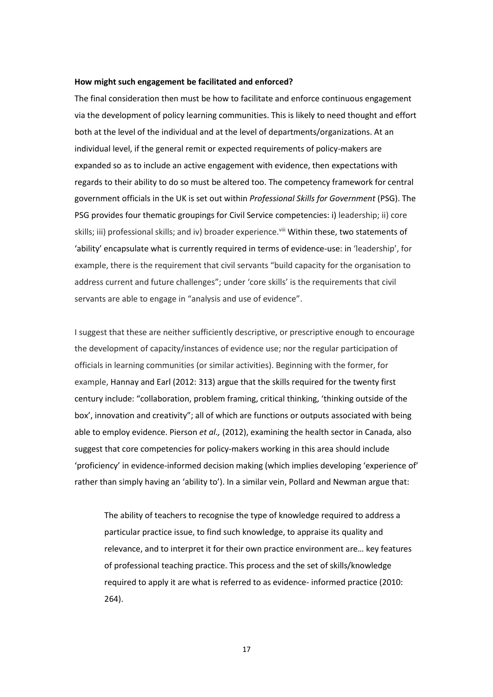### **How might such engagement be facilitated and enforced?**

The final consideration then must be how to facilitate and enforce continuous engagement via the development of policy learning communities. This is likely to need thought and effort both at the level of the individual and at the level of departments/organizations. At an individual level, if the general remit or expected requirements of policy-makers are expanded so as to include an active engagement with evidence, then expectations with regards to their ability to do so must be altered too. The competency framework for central government officials in the UK is set out within *Professional Skills for Government* (PSG). The PSG provides four thematic groupings for Civil Service competencies: i) leadership; ii) core skills; iii) professional skills; and iv) broader experience.<sup>viii</sup> Within these, two statements of 'ability' encapsulate what is currently required in terms of evidence-use: in 'leadership', for example, there is the requirement that civil servants "build capacity for the organisation to address current and future challenges"; under 'core skills' is the requirements that civil servants are able to engage in "analysis and use of evidence".

I suggest that these are neither sufficiently descriptive, or prescriptive enough to encourage the development of capacity/instances of evidence use; nor the regular participation of officials in learning communities (or similar activities). Beginning with the former, for example, Hannay and Earl (2012: 313) argue that the skills required for the twenty first century include: "collaboration, problem framing, critical thinking, 'thinking outside of the box', innovation and creativity"; all of which are functions or outputs associated with being able to employ evidence. Pierson *et al.,* (2012), examining the health sector in Canada, also suggest that core competencies for policy-makers working in this area should include 'proficiency' in evidence-informed decision making (which implies developing 'experience of' rather than simply having an 'ability to'). In a similar vein, Pollard and Newman argue that:

The ability of teachers to recognise the type of knowledge required to address a particular practice issue, to find such knowledge, to appraise its quality and relevance, and to interpret it for their own practice environment are… key features of professional teaching practice. This process and the set of skills/knowledge required to apply it are what is referred to as evidence- informed practice (2010: 264).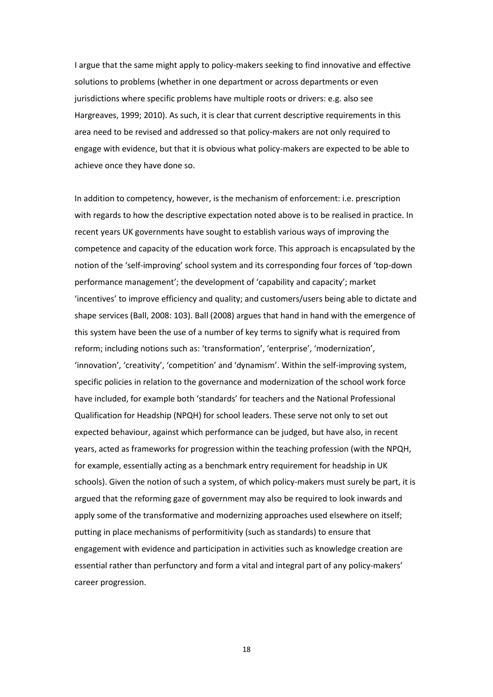I argue that the same might apply to policy-makers seeking to find innovative and effective solutions to problems (whether in one department or across departments or even jurisdictions where specific problems have multiple roots or drivers: e.g. also see Hargreaves, 1999; 2010). As such, it is clear that current descriptive requirements in this area need to be revised and addressed so that policy-makers are not only required to engage with evidence, but that it is obvious what policy-makers are expected to be able to achieve once they have done so.

In addition to competency, however, is the mechanism of enforcement: i.e. prescription with regards to how the descriptive expectation noted above is to be realised in practice. In recent years UK governments have sought to establish various ways of improving the competence and capacity of the education work force. This approach is encapsulated by the notion of the 'self-improving' school system and its corresponding four forces of 'top-down performance management'; the development of 'capability and capacity'; market 'incentives' to improve efficiency and quality; and customers/users being able to dictate and shape services (Ball, 2008: 103). Ball (2008) argues that hand in hand with the emergence of this system have been the use of a number of key terms to signify what is required from reform; including notions such as: 'transformation', 'enterprise', 'modernization', 'innovation', 'creativity', 'competition' and 'dynamism'. Within the self-improving system, specific policies in relation to the governance and modernization of the school work force have included, for example both 'standards' for teachers and the National Professional Qualification for Headship (NPQH) for school leaders. These serve not only to set out expected behaviour, against which performance can be judged, but have also, in recent years, acted as frameworks for progression within the teaching profession (with the NPQH, for example, essentially acting as a benchmark entry requirement for headship in UK schools). Given the notion of such a system, of which policy-makers must surely be part, it is argued that the reforming gaze of government may also be required to look inwards and apply some of the transformative and modernizing approaches used elsewhere on itself; putting in place mechanisms of performitivity (such as standards) to ensure that engagement with evidence and participation in activities such as knowledge creation are essential rather than perfunctory and form a vital and integral part of any policy-makers' career progression.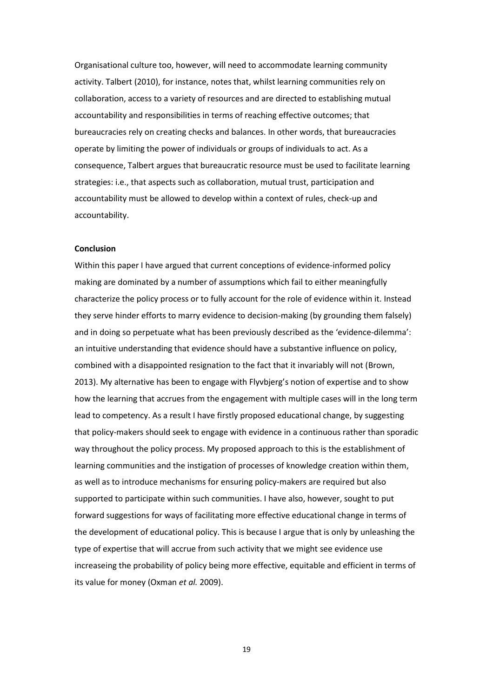Organisational culture too, however, will need to accommodate learning community activity. Talbert (2010), for instance, notes that, whilst learning communities rely on collaboration, access to a variety of resources and are directed to establishing mutual accountability and responsibilities in terms of reaching effective outcomes; that bureaucracies rely on creating checks and balances. In other words, that bureaucracies operate by limiting the power of individuals or groups of individuals to act. As a consequence, Talbert argues that bureaucratic resource must be used to facilitate learning strategies: i.e., that aspects such as collaboration, mutual trust, participation and accountability must be allowed to develop within a context of rules, check-up and accountability.

# **Conclusion**

Within this paper I have argued that current conceptions of evidence-informed policy making are dominated by a number of assumptions which fail to either meaningfully characterize the policy process or to fully account for the role of evidence within it. Instead they serve hinder efforts to marry evidence to decision-making (by grounding them falsely) and in doing so perpetuate what has been previously described as the 'evidence-dilemma': an intuitive understanding that evidence should have a substantive influence on policy, combined with a disappointed resignation to the fact that it invariably will not (Brown, 2013). My alternative has been to engage with Flyvbjerg's notion of expertise and to show how the learning that accrues from the engagement with multiple cases will in the long term lead to competency. As a result I have firstly proposed educational change, by suggesting that policy-makers should seek to engage with evidence in a continuous rather than sporadic way throughout the policy process. My proposed approach to this is the establishment of learning communities and the instigation of processes of knowledge creation within them, as well as to introduce mechanisms for ensuring policy-makers are required but also supported to participate within such communities. I have also, however, sought to put forward suggestions for ways of facilitating more effective educational change in terms of the development of educational policy. This is because I argue that is only by unleashing the type of expertise that will accrue from such activity that we might see evidence use increaseing the probability of policy being more effective, equitable and efficient in terms of its value for money (Oxman *et al.* 2009).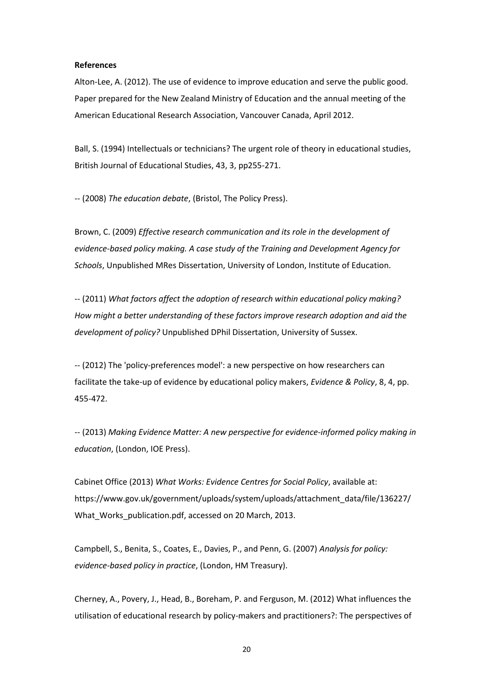### **References**

Alton-Lee, A. (2012). The use of evidence to improve education and serve the public good. Paper prepared for the New Zealand Ministry of Education and the annual meeting of the American Educational Research Association, Vancouver Canada, April 2012.

Ball, S. (1994) Intellectuals or technicians? The urgent role of theory in educational studies, British Journal of Educational Studies, 43, 3, pp255-271.

-- (2008) *The education debate*, (Bristol, The Policy Press).

Brown, C. (2009) *Effective research communication and its role in the development of evidence-based policy making. A case study of the Training and Development Agency for Schools*, Unpublished MRes Dissertation, University of London, Institute of Education.

-- (2011) *What factors affect the adoption of research within educational policy making? How might a better understanding of these factors improve research adoption and aid the development of policy?* Unpublished DPhil Dissertation, University of Sussex.

-- (2012) The 'policy-preferences model': a new perspective on how researchers can facilitate the take-up of evidence by educational policy makers, *Evidence & Policy*, 8, 4, pp. 455-472.

-- (2013) *Making Evidence Matter: A new perspective for evidence-informed policy making in education*, (London, IOE Press).

Cabinet Office (2013) *What Works: Evidence Centres for Social Policy*, available at: https://www.gov.uk/government/uploads/system/uploads/attachment\_data/file/136227/ What Works publication.pdf, accessed on 20 March, 2013.

Campbell, S., Benita, S., Coates, E., Davies, P., and Penn, G. (2007) *Analysis for policy: evidence-based policy in practice*, (London, HM Treasury).

Cherney, A., Povery, J., Head, B., Boreham, P. and Ferguson, M. (2012) What influences the utilisation of educational research by policy-makers and practitioners?: The perspectives of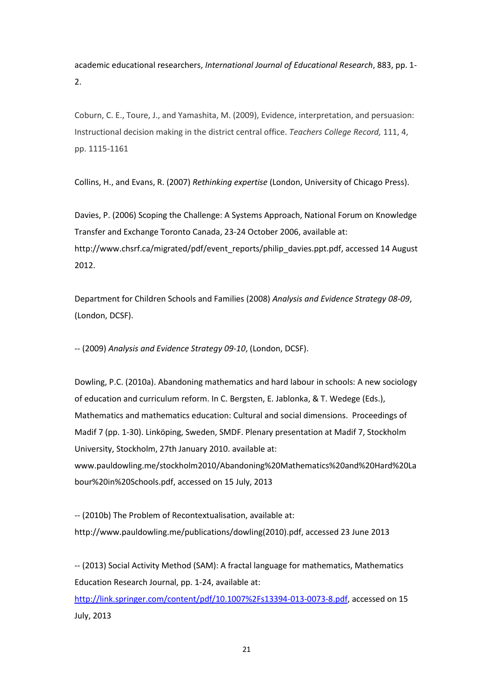academic educational researchers, *International Journal of Educational Research*, 883, pp. 1- 2.

Coburn, C. E., Toure, J., and Yamashita, M. (2009), Evidence, interpretation, and persuasion: Instructional decision making in the district central office. *Teachers College Record,* 111, 4, pp. 1115-1161

Collins, H., and Evans, R. (2007) *Rethinking expertise* (London, University of Chicago Press).

Davies, P. (2006) Scoping the Challenge: A Systems Approach, National Forum on Knowledge Transfer and Exchange Toronto Canada, 23-24 October 2006, available at: http://www.chsrf.ca/migrated/pdf/event\_reports/philip\_davies.ppt.pdf, accessed 14 August 2012.

Department for Children Schools and Families (2008) *Analysis and Evidence Strategy 08-09*, (London, DCSF).

-- (2009) *Analysis and Evidence Strategy 09-10*, (London, DCSF).

Dowling, P.C. (2010a). Abandoning mathematics and hard labour in schools: A new sociology of education and curriculum reform. In C. Bergsten, E. Jablonka, & T. Wedege (Eds.), Mathematics and mathematics education: Cultural and social dimensions. Proceedings of Madif 7 (pp. 1-30). Linköping, Sweden, SMDF. Plenary presentation at Madif 7, Stockholm University, Stockholm, 27th January 2010. available at: [www.pauldowling.me/stockholm2010/Abandoning%20Mathematics%20and%20Hard%20La](http://www.pauldowling.me/stockholm2010/Abandoning%20Mathematics%20and%20Hard%20Labour%20in%20Schools.pdf) [bour%20in%20Schools.pdf,](http://www.pauldowling.me/stockholm2010/Abandoning%20Mathematics%20and%20Hard%20Labour%20in%20Schools.pdf) accessed on 15 July, 2013

-- (2010b) The Problem of Recontextualisation, available at: http://www.pauldowling.me/publications/dowling(2010).pdf, accessed 23 June 2013

-- (2013) Social Activity Method (SAM): A fractal language for mathematics, Mathematics Education Research Journal, pp. 1-24, available at: [http://link.springer.com/content/pdf/10.1007%2Fs13394-013-0073-8.pdf,](http://link.springer.com/content/pdf/10.1007%2Fs13394-013-0073-8.pdf) accessed on 15 July, 2013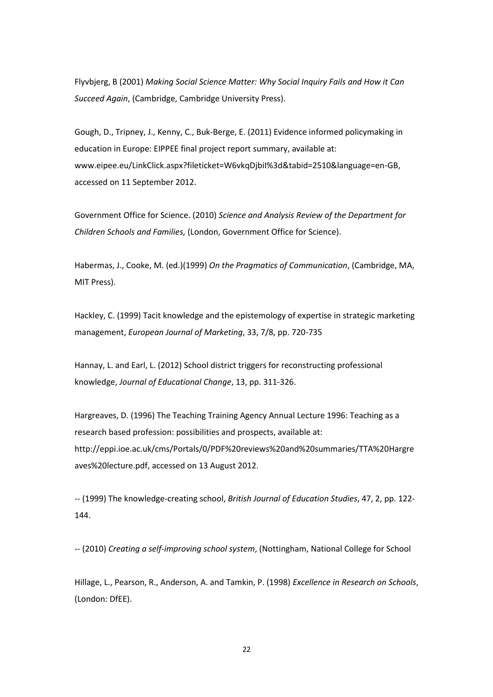Flyvbjerg, B (2001) *Making Social Science Matter: Why Social Inquiry Fails and How it Can Succeed Again*, (Cambridge, Cambridge University Press).

Gough, D., Tripney, J., Kenny, C., Buk-Berge, E. (2011) Evidence informed policymaking in education in Europe: EIPPEE final project report summary, available at: www.eipee.eu/LinkClick.aspx?fileticket=W6vkqDjbiI%3d&tabid=2510&language=en-GB, accessed on 11 September 2012.

Government Office for Science. (2010) *Science and Analysis Review of the Department for Children Schools and Families,* (London, Government Office for Science).

Habermas, J., Cooke, M. (ed.)(1999) *On the Pragmatics of Communication*, (Cambridge, MA, MIT Press).

Hackley, C. (1999) Tacit knowledge and the epistemology of expertise in strategic marketing management, *European Journal of Marketing*, 33, 7/8, pp. 720-735

Hannay, L. and Earl, L. (2012) School district triggers for reconstructing professional knowledge, *Journal of Educational Change*, 13, pp. 311-326.

Hargreaves, D. (1996) The Teaching Training Agency Annual Lecture 1996: Teaching as a research based profession: possibilities and prospects, available at: http://eppi.ioe.ac.uk/cms/Portals/0/PDF%20reviews%20and%20summaries/TTA%20Hargre aves%20lecture.pdf, accessed on 13 August 2012.

-- (1999) The knowledge-creating school, *British Journal of Education Studies*, 47, 2, pp. 122- 144.

-- (2010) *Creating a self-improving school system*, (Nottingham, National College for School

Hillage, L., Pearson, R., Anderson, A. and Tamkin, P. (1998) *Excellence in Research on Schools*, (London: DfEE).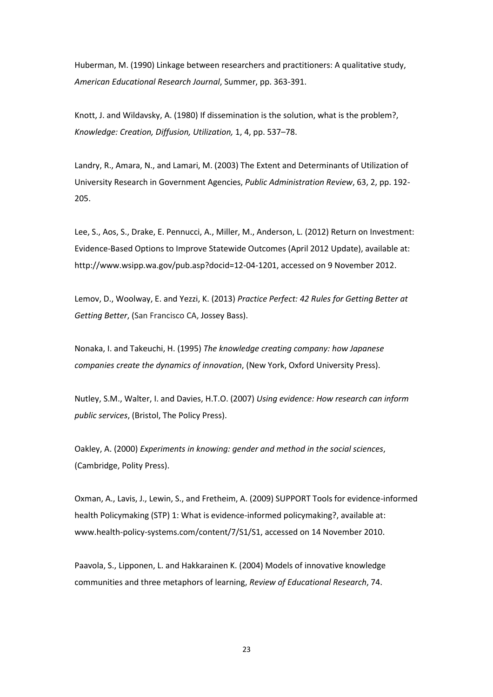Huberman, M. (1990) Linkage between researchers and practitioners: A qualitative study, *American Educational Research Journal*, Summer, pp. 363-391.

Knott, J. and Wildavsky, A. (1980) If dissemination is the solution, what is the problem?, *Knowledge: Creation, Diffusion, Utilization,* 1, 4, pp. 537–78.

Landry, R., Amara, N., and Lamari, M. (2003) The Extent and Determinants of Utilization of University Research in Government Agencies, *Public Administration Review*, 63, 2, pp. 192- 205.

Lee, S., Aos, S., Drake, E. Pennucci, A., Miller, M., Anderson, L. (2012) Return on Investment: Evidence-Based Options to Improve Statewide Outcomes (April 2012 Update), available at: http://www.wsipp.wa.gov/pub.asp?docid=12-04-1201, accessed on 9 November 2012.

Lemov, D., Woolway, E. and Yezzi, K. (2013) *Practice Perfect: 42 Rules for Getting Better at Getting Better*, (San Francisco CA, Jossey Bass).

Nonaka, I. and Takeuchi, H. (1995) *The knowledge creating company: how Japanese companies create the dynamics of innovation*, (New York, Oxford University Press).

Nutley, S.M., Walter, I. and Davies, H.T.O. (2007) *Using evidence: How research can inform public services*, (Bristol, The Policy Press).

Oakley, A. (2000) *Experiments in knowing: gender and method in the social sciences*, (Cambridge, Polity Press).

Oxman, A., Lavis, J., Lewin, S., and Fretheim, A. (2009) SUPPORT Tools for evidence-informed health Policymaking (STP) 1: What is evidence-informed policymaking?, available at: www.health-policy-systems.com/content/7/S1/S1, accessed on 14 November 2010.

Paavola, S., Lipponen, L. and Hakkarainen K. (2004) Models of innovative knowledge communities and three metaphors of learning, *Review of Educational Research*, 74.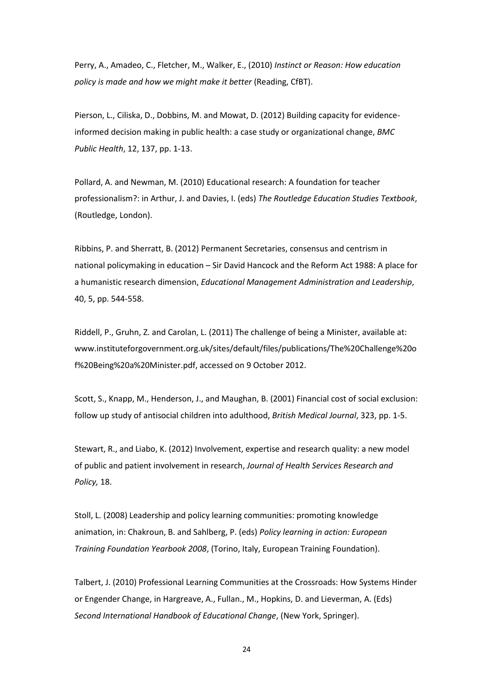Perry, A., Amadeo, C., Fletcher, M., Walker, E., (2010) *Instinct or Reason: How education policy is made and how we might make it better* (Reading, CfBT).

Pierson, L., Ciliska, D., Dobbins, M. and Mowat, D. (2012) Building capacity for evidenceinformed decision making in public health: a case study or organizational change, *BMC Public Health*, 12, 137, pp. 1-13.

Pollard, A. and Newman, M. (2010) Educational research: A foundation for teacher professionalism?: in Arthur, J. and Davies, I. (eds) *The Routledge Education Studies Textbook*, (Routledge, London).

Ribbins, P. and Sherratt, B. (2012) Permanent Secretaries, consensus and centrism in national policymaking in education – Sir David Hancock and the Reform Act 1988: A place for a humanistic research dimension, *Educational Management Administration and Leadership*, 40, 5, pp. 544-558.

Riddell, P., Gruhn, Z. and Carolan, L. (2011) The challenge of being a Minister, available at: www.instituteforgovernment.org.uk/sites/default/files/publications/The%20Challenge%20o f%20Being%20a%20Minister.pdf, accessed on 9 October 2012.

Scott, S., Knapp, M., Henderson, J., and Maughan, B. (2001) Financial cost of social exclusion: follow up study of antisocial children into adulthood, *British Medical Journal*, 323, pp. 1-5.

Stewart, R., and Liabo, K. (2012) Involvement, expertise and research quality: a new model of public and patient involvement in research, *Journal of Health Services Research and Policy,* 18.

Stoll, L. (2008) Leadership and policy learning communities: promoting knowledge animation, in: Chakroun, B. and Sahlberg, P. (eds) *Policy learning in action: European Training Foundation Yearbook 2008*, (Torino, Italy, European Training Foundation).

Talbert, J. (2010) Professional Learning Communities at the Crossroads: How Systems Hinder or Engender Change, in Hargreave, A., Fullan., M., Hopkins, D. and Lieverman, A. (Eds) *Second International Handbook of Educational Change*, (New York, Springer).